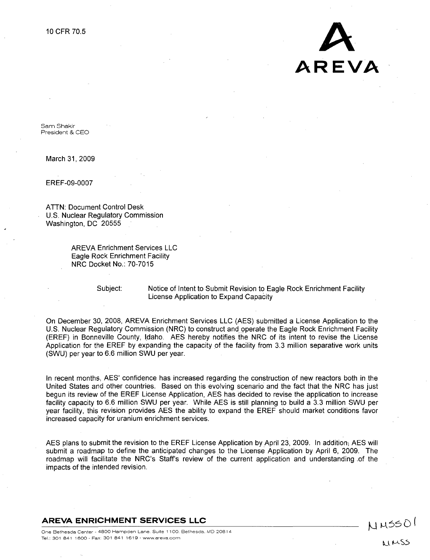

Sam Shakir President & CEO

March 31, 2009

EREF-09-0007

ATTN: Document Control Desk U.S. Nuclear Regulatory Commission Washington, DC 20555

> AREVA Enrichment Services LLC Eagle Rock Enrichment Facility NRC Docket No.: 70-7015

Subject: Notice of Intent to Submit Revision to Eagle Rock Enrichment Facility License Application to Expand Capacity

On December 30, 2008, AREVA Enrichment Services LLC (AES) submitted a License Application to the U.S. Nuclear Regulatory Commission (NRC) to construct and operate the Eagle Rock Enrichment Facility (EREF) in Bonneville County, Idaho. AES hereby notifies the NRC of its intent to revise the License Application for the EREF by expanding the capacity of the facility from 3.3 million separative work units (SWU) per year to 6.6 million SWU per year.

In recent months, AES' confidence has increased regarding the construction of new reactors both in the United States and other countries. Based on this evolving scenario and the fact that the NRC has just begun its review of the EREF License Application, AES has decided to revise the application to increase facility capacity to 6.6 million SWU per year. While AES is still planning to build a 3.3 million SWU per year facility, this revision provides AES the ability to expand the EREF should market conditions favor increased capacity for uranium enrichment services.

AES plans to submit the revision to the EREF License Application by April 23, 2009. In addition; AES will submit a roadmap to define the anticipated changes to the License Application by April 6, 2009. The roadmap will facilitate the NRC's Staff's review of the current application and understanding of the impacts of the intended revision.

AREVA **ENRICHMENT SERVICES LLC**

NUSSOI